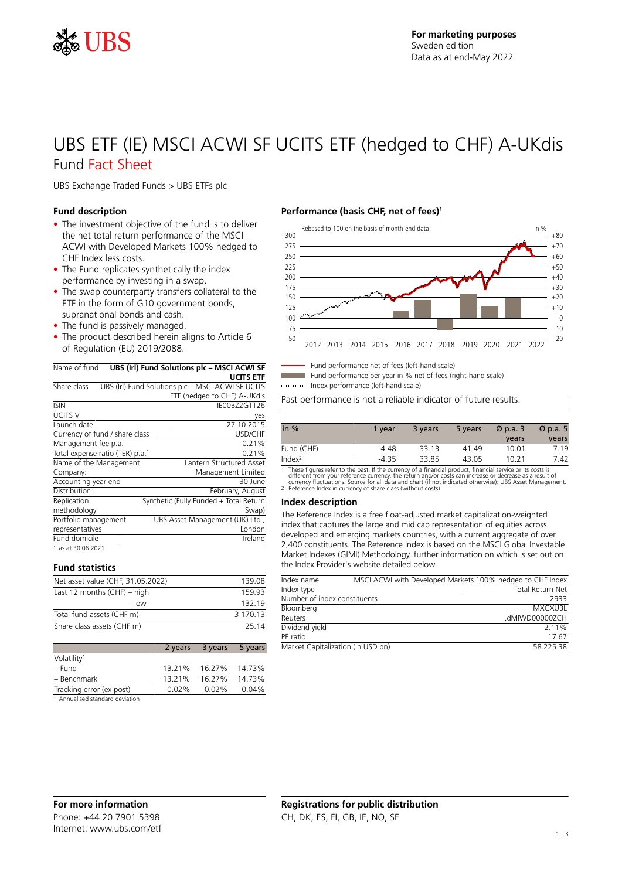

## UBS ETF (IE) MSCI ACWI SF UCITS ETF (hedged to CHF) A-UKdis Fund Fact Sheet

UBS Exchange Traded Funds > UBS ETFs plc

#### **Fund description**

- The investment objective of the fund is to deliver the net total return performance of the MSCI ACWI with Developed Markets 100% hedged to CHF Index less costs.
- The Fund replicates synthetically the index performance by investing in a swap.
- The swap counterparty transfers collateral to the ETF in the form of G10 government bonds, supranational bonds and cash.
- The fund is passively managed.
- The product described herein aligns to Article 6 of Regulation (EU) 2019/2088.

#### Name of fund **UBS (Irl) Fund Solutions plc – MSCI ACWI SF UCITS ETF**

| Share class                                 | UBS (Irl) Fund Solutions plc - MSCI ACWI SF UCITS |
|---------------------------------------------|---------------------------------------------------|
|                                             | ETF (hedged to CHF) A-UKdis                       |
| <b>ISIN</b>                                 | IE00BZ2GTT26                                      |
| <b>UCITS V</b>                              | yes                                               |
| Launch date                                 | 27.10.2015                                        |
| Currency of fund / share class              | USD/CHF                                           |
| Management fee p.a.                         | 0.21%                                             |
| Total expense ratio (TER) p.a. <sup>1</sup> | 0.21%                                             |
| Name of the Management                      | Lantern Structured Asset                          |
| Company:                                    | Management Limited                                |
| Accounting year end                         | 30 June                                           |
| Distribution                                | February, August                                  |
| Replication                                 | Synthetic (Fully Funded + Total Return            |
| methodology                                 | Swap)                                             |
| Portfolio management                        | UBS Asset Management (UK) Ltd.,                   |
| representatives                             | London                                            |
| Fund domicile                               | Ireland                                           |
| 1 as at 30.06.2021                          |                                                   |

#### **Fund statistics**

| Net asset value (CHF, 31.05.2022) | 139.08   |
|-----------------------------------|----------|
| Last 12 months $(CHF)$ – high     | 159 93   |
| $-$ low                           | 132 19   |
| Total fund assets (CHF m)         | 3 170 13 |
| Share class assets (CHF m)        | 25.14    |

|                          | 2 years  | 3 years | 5 years |
|--------------------------|----------|---------|---------|
| Volatility <sup>1</sup>  |          |         |         |
| – Fund                   | 13.21%   | 16.27%  | 14.73%  |
| - Benchmark              | 13.21%   | 16.27%  | 14.73%  |
| Tracking error (ex post) | $0.02\%$ | 0.02%   | 0.04%   |
| .                        |          |         |         |

1 Annualised standard deviation

### **Performance (basis CHF, net of fees)<sup>1</sup>**



Fund performance net of fees (left-hand scale)

Fund performance per year in % net of fees (right-hand scale)

Index performance (left-hand scale)

Past performance is not a reliable indicator of future results.

| in $%$             | 1 vear  | 3 years            | 5 years | $\varnothing$ p.a. 3      | $\varnothing$ p.a. 5 |
|--------------------|---------|--------------------|---------|---------------------------|----------------------|
|                    |         |                    |         | years                     | years                |
| Fund (CHF)         | $-4.48$ | 33.13              | 41.49   | 10.01                     | 7.19                 |
| Index <sup>2</sup> | $-4.35$ | 33.85              | 43.05   | 10.21                     | 7.42                 |
| ______             |         | $\sim$ $\sim$<br>. |         | .<br>$\sim$ $\sim$ $\sim$ |                      |

1 These figures refer to the past. If the currency of a financial product, financial service or its costs is<br>different from your reference currency, the return and/or costs can increase or decrease as a result of<br>currency

#### **Index description**

The Reference Index is a free float-adjusted market capitalization-weighted index that captures the large and mid cap representation of equities across developed and emerging markets countries, with a current aggregate of over 2,400 constituents. The Reference Index is based on the MSCI Global Investable Market Indexes (GIMI) Methodology, further information on which is set out on the Index Provider's website detailed below.

| Index name                        | MSCI ACWI with Developed Markets 100% hedged to CHF Index |                         |
|-----------------------------------|-----------------------------------------------------------|-------------------------|
| Index type                        |                                                           | <b>Total Return Net</b> |
| Number of index constituents      |                                                           | 2933                    |
| Bloomberg                         |                                                           | <b>MXCXUBI</b>          |
| Reuters                           |                                                           | .dMIWD00000ZCH          |
| Dividend yield                    |                                                           | 2 1 1 %                 |
| PF ratio                          |                                                           | 17.67                   |
| Market Capitalization (in USD bn) |                                                           | 58 225.38               |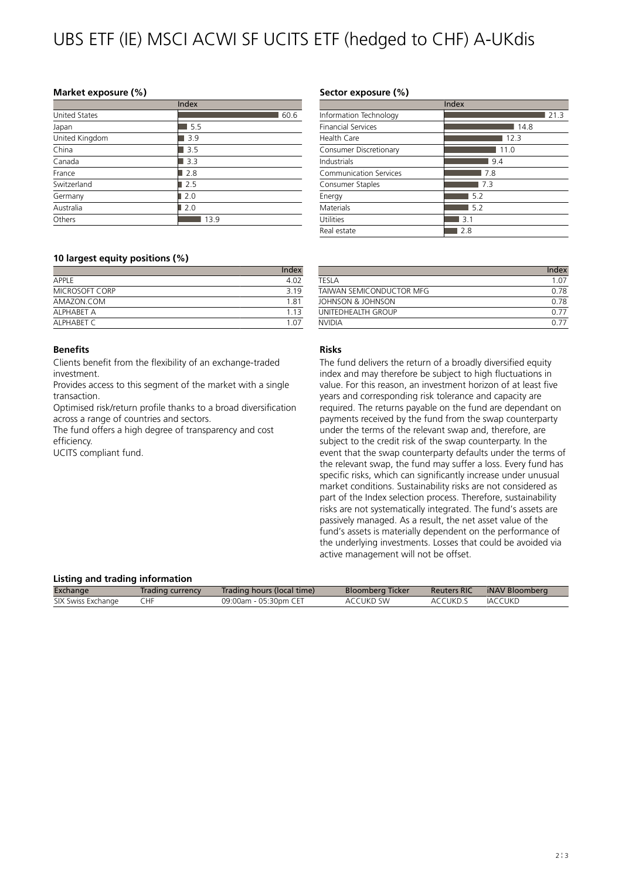# UBS ETF (IE) MSCI ACWI SF UCITS ETF (hedged to CHF) A-UKdis

#### **Market exposure (%)**

|                      | Index |
|----------------------|-------|
| <b>United States</b> | 60.6  |
| Japan                | 5.5   |
| United Kingdom       | 3.9   |
| China                | 3.5   |
| Canada               | 3.3   |
| France               | 2.8   |
| Switzerland          | 2.5   |
| Germany              | 2.0   |
| Australia            | 2.0   |
| Others               | 13.9  |

#### **10 largest equity positions (%)**

|                | Index |
|----------------|-------|
| APPI F         | 4.02  |
| MICROSOFT CORP | 3 1 9 |
| AMAZON.COM     | 1.81  |
| AI PHABFT A    | 113   |
| AI PHABET C    | 1 N 7 |

#### **Benefits**

Clients benefit from the flexibility of an exchange-traded investment.

Provides access to this segment of the market with a single transaction.

Optimised risk/return profile thanks to a broad diversification across a range of countries and sectors.

The fund offers a high degree of transparency and cost efficiency.

UCITS compliant fund.

### **Sector exposure (%)**

|                           | Index |
|---------------------------|-------|
| Information Technology    | 21.3  |
| <b>Financial Services</b> | 14.8  |
| Health Care               | 12.3  |
| Consumer Discretionary    | 11.0  |
| Industrials               | 9.4   |
| Communication Services    | 7.8   |
| Consumer Staples          | 7.3   |
| Energy                    | 5.2   |
| Materials                 | 5.2   |
| Utilities                 | 3.1   |
| Real estate               | 2.8   |

|                          | Index |
|--------------------------|-------|
| TFSI A                   | 1.07  |
| TAIWAN SEMICONDUCTOR MEG | 0.78  |
| JOHNSON & JOHNSON        | 0.78  |
| UNITEDHEAITH GROUP       | 0.77  |
| NVIDIA                   | .ስ 77 |

### **Risks**

The fund delivers the return of a broadly diversified equity index and may therefore be subject to high fluctuations in value. For this reason, an investment horizon of at least five years and corresponding risk tolerance and capacity are required. The returns payable on the fund are dependant on payments received by the fund from the swap counterparty under the terms of the relevant swap and, therefore, are subject to the credit risk of the swap counterparty. In the event that the swap counterparty defaults under the terms of the relevant swap, the fund may suffer a loss. Every fund has specific risks, which can significantly increase under unusual market conditions. Sustainability risks are not considered as part of the Index selection process. Therefore, sustainability risks are not systematically integrated. The fund's assets are passively managed. As a result, the net asset value of the fund's assets is materially dependent on the performance of the underlying investments. Losses that could be avoided via active management will not be offset.

#### **Listing and trading information**

| Eisenig and craanig information |                  |                            |                         |                    |                |
|---------------------------------|------------------|----------------------------|-------------------------|--------------------|----------------|
| Exchange                        | Trading currency | Trading hours (local time) | <b>Bloomberg Ticker</b> | <b>Reuters RIC</b> | iNAV Bloomberg |
| SIX Swiss Exchange              | CHF              | 09:00am - 05:30pm CET      | ACCUKD SW               | ACCUKD.S           | IACCUKD        |